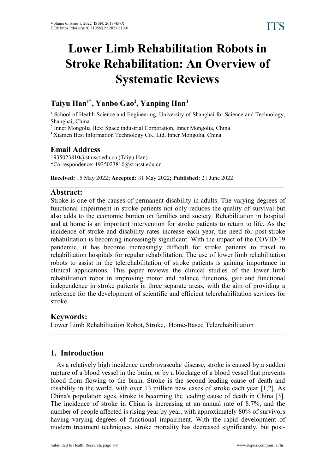# **Lower Limb Rehabilitation Robots in Stroke Rehabilitation: An Overview of Systematic Reviews**

#### **Taiyu Han 1\* , Yanbo Gao 2 , Yanping Han 3**

<sup>1</sup> School of Health Science and Engineering, University of Shanghai for Science and Technology, Shanghai, China

<sup>2</sup> Inner Mongolia Hexi Space industrial Corporation, Inner Mongolia, China

<sup>3</sup> Xiamen Best Information Technology Co., Ltd, Inner Mongolia, China

## **Email Address**

1935023810@st.usst.edu.cn (Taiyu Han) \*Correspondence: 1935023810@st.usst.edu.cn

**Received:** 15 May 2022**; Accepted:** 31 May 2022**; Published:** 21 June 2022

# **Abstract:**

Stroke is one of the causes of permanent disability in adults. The varying degrees of functional impairment in stroke patients not only reduces the quality of survival but also adds to the economic burden on families and society. Rehabilitation in hospital and at home is an important intervention for stroke patients to return to life. As the incidence of stroke and disability rates increase each year, the need for post-stroke rehabilitation is becoming increasingly significant. With the impact of the COVID-19 pandemic, it has become increasingly difficult for stroke patients to travel to rehabilitation hospitals for regular rehabilitation. The use of lower limb rehabilitation robots to assist in the telerehabilitation of stroke patients is gaining importance in clinical applications. This paper reviews the clinical studies of the lower limb rehabilitation robot in improving motor and balance functions, gait and functional independence in stroke patients in three separate areas, with the aim of providing a reference for the development of scientific and efficient telerehabilitation services for stroke.

#### **Keywords:**

Lower Limb Rehabilitation Robot, Stroke, Home-Based Telerehabilitation

# **1. Introduction**

As a relatively high incidence cerebrovascular disease, stroke is caused by a sudden rupture of a blood vessel in the brain, or by a blockage of a blood vessel that prevents blood from flowing to the brain. Stroke is the second leading cause of death and disability in the world, with over 13 million new cases of stroke each year [1,2]. As China's population ages, stroke is becoming the leading cause of death in China [3]. The incidence of stroke in China is increasing at an annual rate of 8.7%, and the number of people affected is rising year by year, with approximately 80% of survivors having varying degrees of functional impairment. With the rapid development of modern treatment techniques, stroke mortality has decreased significantly, but post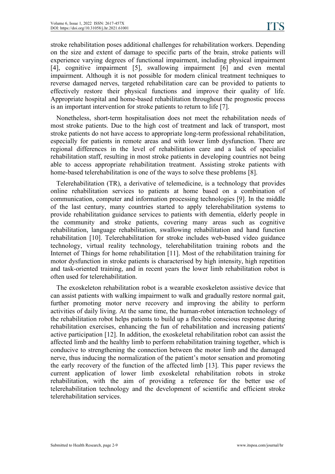stroke rehabilitation poses additional challenges for rehabilitation workers. Depending on the size and extent of damage to specific parts of the brain, stroke patients will experience varying degrees of functional impairment, including physical impairment [4], cognitive impairment [5], swallowing impairment [6] and even mental impairment. Although it is not possible for modern clinical treatment techniques to reverse damaged nerves, targeted rehabilitation care can be provided to patients to effectively restore their physical functions and improve their quality of life. Appropriate hospital and home-based rehabilitation throughout the prognostic process is an important intervention for stroke patients to return to life [7].

Nonetheless, short-term hospitalisation does not meet the rehabilitation needs of most stroke patients. Due to the high cost of treatment and lack of transport, most stroke patients do not have access to appropriate long-term professional rehabilitation, especially for patients in remote areas and with lower limb dysfunction. There are regional differences in the level of rehabilitation care and alack of specialist rehabilitation staff, resulting in most stroke patients in developing countries not being able to access appropriate rehabilitation treatment. Assisting stroke patients with home-based telerehabilitation is one of the ways to solve these problems [8].

Telerehabilitation (TR), a derivative of telemedicine, is a technology that provides online rehabilitation services to patients at home based on acombination of communication, computer and information processing technologies [9]. In the middle of the last century, many countries started to apply telerehabilitation systems to provide rehabilitation guidance services to patients with dementia, elderly people in the community and stroke patients, covering many areas such as cognitive rehabilitation, language rehabilitation, swallowing rehabilitation and hand function rehabilitation [10]. Telerehabilitation for stroke includes web-based video guidance technology, virtual reality technology, telerehabilitation training robots and the Internet of Things for home rehabilitation [11]. Most of the rehabilitation training for motor dysfunction in stroke patients is characterised by high intensity, high repetition and task-oriented training, and in recent years the lower limb rehabilitation robot is often used for telerehabilitation.

The exoskeleton rehabilitation robot is a wearable exoskeleton assistive device that can assist patients with walking impairment to walk and gradually restore normalgait, further promoting motor nerve recovery and improving the ability to perform activities of daily living. At the same time, the human-robot interaction technology of the rehabilitation robot helps patients to build up a flexible conscious response during rehabilitation exercises, enhancing the fun of rehabilitation and increasing patients' active participation [12]. In addition, the exoskeletal rehabilitation robot can assist the affected limb and the healthy limb to perform rehabilitation training together, which is conducive to strengthening the connection between the motor limb and the damaged nerve, thus inducing the normalization of the patient's motor sensation and promoting the early recovery of the function of the affected limb [13]. This paper reviews the current application of lower limb exoskeletal rehabilitation robots in stroke rehabilitation, with the aim of providing a reference for the better use of telerehabilitation technology and the development of scientific and efficient stroke telerehabilitation services.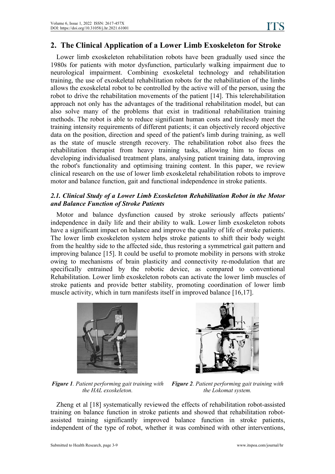# **2. The Clinical Application of a Lower Limb Exoskeleton for Stroke**

Lower limb exoskeleton rehabilitation robots have been gradually used since the 1980s for patients with motor dysfunction, particularly walking impairment due to neurological impairment. Combining exoskeletal technology and rehabilitation training, the use of exoskeletal rehabilitation robots for the rehabilitation of the limbs allows the exoskeletal robot to be controlled by the active will of the person, using the robot to drive the rehabilitation movements of the patient [14]. This telerehabilitation approach not only has the advantages of the traditional rehabilitation model, but can also solve many of the problems that exist in traditional rehabilitation training methods. The robot is able to reduce significant human costs and tirelessly meet the training intensity requirements of different patients; it can objectively record objective data on the position, direction and speed of the patient's limb during training, as well as the state of muscle strength recovery. The rehabilitation robot also frees the rehabilitation therapist from heavy training tasks, allowing him to focus on developing individualised treatment plans, analysing patient training data, improving the robot's functionality and optimising training content. In this paper, we review clinical research on the use of lower limb exoskeletal rehabilitation robots to improve motor and balance function, gait and functional independence in stroke patients.

#### *2.1. Clinical Study of a Lower Limb Exoskeleton Rehabilitation Robot in the Motor and Balance Function of Stroke Patients*

Motor and balance dysfunction caused by stroke seriously affects patients' independence in daily life and their ability to walk. Lower limb exoskeleton robots have a significant impact on balance and improve the quality of life of stroke patients.<br>The lower limb exoskeleton system helps stroke patients to shift their body weight from the healthy side to the affected side, thus restoring a symmetrical gait pattern and improving balance [15]. It could be useful to promote mobility in persons with stroke owing to mechanisms of brain plasticity and connectivity re-modulation that are specifically entrained by the robotic device, as compared to conventional Rehabilitation. Lower limb exoskeleton robots can activate the lower limb muscles of stroke patients and provide better stability, promoting coordination of lower limb muscle activity, which in turn manifests itself in improved balance [16,17].





*Figure 1. Patient performing gait training with the HAL exoskeleton. Figure <sup>2</sup>. Patient performing gait training with the Lokomat system.*

Zheng et al [18] systematically reviewed the effects of rehabilitation robot-assisted training on balance function in stroke patients and showed that rehabilitation robot assisted training significantly improved balance function in stroke patients, independent of the type of robot, whether it was combined with other interventions,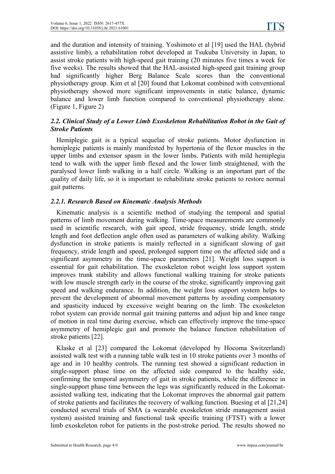and the duration and intensity of training. Yoshimoto et al [19] used the HAL (hybrid assistive limb), a rehabilitation robot developed at Tsukuba University in Japan, to assist stroke patients with high-speed gait training (20 minutes five times a week for five weeks). The results showed that the HAL-assisted high-speed gait training group had significantly higher Berg Balance Scale scores than the conventional physiotherapy group. Kim et al [20] found that Lokomat combined with conventional physiotherapy showed more significant improvements in static balance, dynamic balance and lower limb function compared to conventional physiotherapy alone. (Figure 1, Figure 2)

#### *2.2. Clinical Study of a Lower Limb Exoskeleton Rehabilitation Robot in the Gait of Stroke Patients*

Hemiplegic gait is a typical sequelae of stroke patients. Motor dysfunction in hemiplegic patients is mainly manifested by hypertonia of the flexor muscles in the upper limbs and extensor spasm in the lower limbs. Patients with mild hemiplegia tend to walk with the upper limb flexed and the lower limb straightened, with the paralysed lower limb walking in a half circle. Walking is an important part of the quality of daily life, so it is important to rehabilitate stroke patients to restore normal gait patterns.

#### *2.2.1. Research Based on Kinematic Analysis Methods*

Kinematic analysis is a scientific method of studying the temporal and spatial patterns of limb movement during walking. Time-space measurements are commonly used in scientific research, with gait speed, stride frequency, stride length, stride length and foot deflection angle often used as parameters of walking ability. Walking dysfunction in stroke patients is mainly reflected in a significant slowing of gait frequency, stride length and speed, prolonged support time on the affected side and a significant asymmetry in the time-space parameters [21]. Weight loss support is essential for gait rehabilitation. The exoskeleton robot weight loss support system improves trunk stability and allows functional walking training for stroke patients with low muscle strength early in the course of the stroke, significantly improving gait speed and walking endurance.In addition, the weight loss support system helps to prevent the development of abnormal movement patterns by avoiding compensatory and spasticity induced by excessive weight bearing on the limb. The exoskeleton robot system can provide normal gait training patterns and adjust hip and knee range of motion in real time during exercise, which can effectively improve the time-space asymmetry of hemiplegic gait and promote the balance function rehabilitation of stroke patients [22].

Klaske et al [23] compared the Lokomat (developed by Hocoma Switzerland) assisted walk test with a running table walk test in 10 stroke patients over 3 months of age and in 10 healthy controls. The running test showed a significant reduction in single-support phase time on the affected side compared to the healthy side, confirming the temporal asymmetry of gait in stroke patients, while the difference in single-support phase time between the legs was significantly reduced in the Lokomat assisted walking test, indicating that the Lokomat improves the abnormal gait pattern of stroke patients and facilitates the recovery of walking function. Buesing et al [21,24] conducted several trials of SMA (a wearable exoskeleton stride management assist system) assisted training and functional task specific training (FTST) with a lower limb exoskeleton robot for patients in the post-stroke period. The results showed no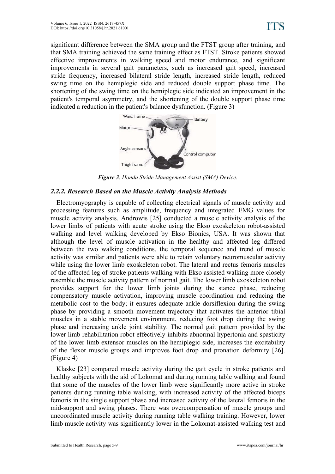significant difference between the SMA group and the FTST group after training, and that SMA training achieved the same training effect as FTST. Stroke patients showed effective improvements in walking speed and motor endurance, and significant improvements in several gait parameters, such as increased gait speed, increased stride frequency, increased bilateral stride length, increased stride length, reduced swing time on the hemiplegic side and reduced double support phase time. The shortening of the swing time on the hemiplegic side indicated an improvement in the patient's temporal asymmetry, and the shortening of the double support phase time indicated a reduction in the patient's balance dysfunction. (Figure 3)



*Figure 3. Honda Stride Management Assist (SMA) Device.*

#### *2.2.2. Research Based on the Muscle Activity Analysis Methods*

Electromyography is capable of collecting electrical signals of muscle activity and processing features such as amplitude, frequency and integrated EMG values for muscle activity analysis. Androwis [25] conducted a muscle activity analysis of the lower limbs of patients with acute stroke using the Ekso exoskeleton robot-assisted walking and level walking developed by Ekso Bionics, USA. It was shown that although the level of muscle activation in the healthy and affected leg differed between the two walking conditions, the temporal sequence and trend of muscle activity was similar and patients were able to retain voluntary neuromuscular activity while using the lower limb exoskeleton robot. The lateral and rectus femoris muscles of the affected leg of stroke patients walking with Ekso assisted walking more closely resemble the muscle activity pattern of normalgait. The lower limb exoskeleton robot provides support for the lower limb joints during the stance phase, reducing compensatory muscle activation, improving muscle coordination and reducing the metabolic cost to the body; it ensures adequate ankle dorsiflexion during the swing phase by providing a smooth movement trajectory that activates the anterior tibial muscles in a stable movement environment, reducing foot drop during the swing phase and increasing ankle joint stability. The normal gait pattern provided by the lower limb rehabilitation robot effectively inhibits abnormal hypertonia and spasticity of the lower limb extensor muscles on the hemiplegic side, increases the excitability of the flexor muscle groups and improves foot drop and pronation deformity [26]. (Figure 4)

Klaske [23] compared muscle activity during the gait cycle in stroke patients and healthy subjects with the aid of Lokomat and during running table walking and found that some of the muscles of the lower limb were significantly more active in stroke patients during running table walking, with increased activity of the affected biceps femoris in the single support phase and increased activity of the lateral femoris in the mid-support and swing phases. There was overcompensation of muscle groups and uncoordinated muscle activity during running table walking training. However, lower limb muscle activity was significantly lower in the Lokomat-assisted walking test and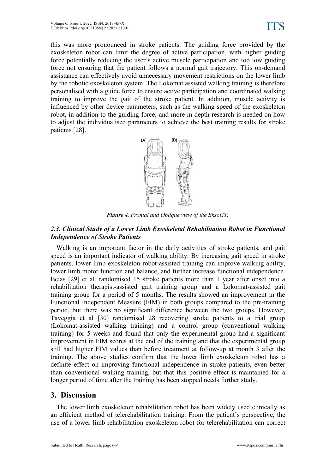this was more pronounced in stroke patients. The guiding force provided by the exoskeleton robot can limit the degree of active participation, with higher guiding force potentially reducing the user's active muscle participation and too low guiding force not ensuring that the patient follows a normal gait trajectory. This on-demand assistance can effectively avoid unnecessary movement restrictions on the lower limb by the robotic exoskeleton system. The Lokomat assisted walking training is therefore personalised with a guide force to ensure active participation and coordinated walking training to improve the gait of the stroke patient. In addition, muscle activity is influenced by other device parameters, such as the walking speed of the exoskeleton robot, in addition to the guiding force, and more in-depth research is needed on how to adjust the individualised parameters to achieve the best training results for stroke patients [28].



*Figure* 4. *Frontal and Oblique view of the EksoGT.* 

### *2.3. Clinical Study of a Lower Limb Exoskeletal Rehabilitation Robot in Functional Independence of Stroke Patients*

Walking is an important factor in the daily activities of stroke patients, and gait speed is an important indicator of walking ability. By increasing gait speed in stroke patients, lower limb exoskeleton robot-assisted training can improve walking ability, lower limb motor function and balance, and further increase functional independence. Belas [29] et al. randomised 15 stroke patients more than 1 year after onset into a rehabilitation therapist-assisted gait training group and aLokomat-assisted gait training group for a period of 5 months. The results showed an improvement in the Functional Independent Measure (FIM) in both groups compared to the pre-training period, but there was no significant difference between the two groups. However, Taveggia et al [30] randomised 28 recovering stroke patients to atrial group (Lokomat-assisted walking training) and a control group (conventional walking training) for 5 weeks and found that only the experimental group had a significant improvement in FIM scores at the end of the training and that the experimental group still had higher FIM values than before treatment at follow-up at month 3 after the training. The above studies confirm that the lower limb exoskeleton robot has a definite effect on improving functional independence in stroke patients, even better than conventional walking training, but that this positive effect is maintained for a longer period of time after the training has been stopped needs further study.

# **3. Discussion**

The lower limb exoskeleton rehabilitation robot has been widely used clinically as an efficient method of telerehabilitation training. From the patient's perspective, the use of a lower limb rehabilitation exoskeleton robot for telerehabilitation can correct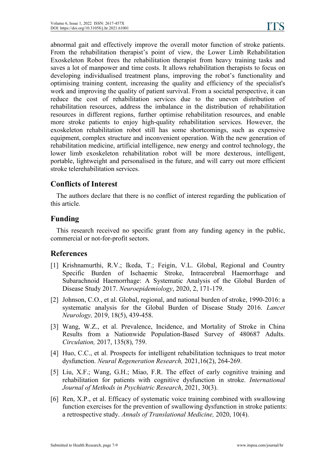abnormal gait and effectively improve the overall motor function of stroke patients. From the rehabilitation therapist's point of view, the Lower Limb Rehabilitation Exoskeleton Robot frees the rehabilitation therapist from heavy training tasks and saves a lot of manpower and time costs. It allows rehabilitation therapists to focus on developing individualised treatment plans, improving the robot's functionality and optimising training content, increasing the quality and efficiency of the specialist's work and improving the quality of patient survival. From a societal perspective, it can reduce the cost of rehabilitation services due to the uneven distribution of rehabilitation resources, address the imbalance in the distribution of rehabilitation resources in different regions, further optimise rehabilitation resources, and enable more stroke patients to enjoy high-quality rehabilitation services. However, the exoskeleton rehabilitation robot still has some shortcomings, such as expensive equipment, complex structure and inconvenient operation. With the new generation of rehabilitation medicine, artificial intelligence, new energy and control technology, the lower limb exoskeleton rehabilitation robot will be more dexterous, intelligent, portable, lightweight and personalised in the future, and will carry out more efficient stroke telerehabilitation services.

# **Conflicts of Interest**

The authors declare that there is no conflict of interest regarding the publication of this article.

# **Funding**

This research received no specific grant from any funding agency in the public, commercial or not-for-profit sectors.

# **References**

- [1] Krishnamurthi, R.V.; Ikeda, T.; Feigin, V.L. Global, Regional and Country Specific Burden of Ischaemic Stroke, Intracerebral Haemorrhage and Subarachnoid Haemorrhage: A Systematic Analysis of the Global Burden of Disease Study 2017. *Neuroepidemiology*, 2020, 2, 171-179.
- [2] Johnson, C.O., et al. Global, regional, and national burden of stroke, 1990-2016: a systematic analysis for the Global Burden of Disease Study 2016. *Lancet Neurology,* 2019, 18(5), 439-458.
- [3] Wang, W.Z., et al. Prevalence, Incidence, and Mortality of Stroke in China Results from a Nationwide Population-Based Survey of 480687 Adults. *Circulation,* 2017, 135(8), 759.
- [4] Huo, C.C., et al. Prospects for intelligent rehabilitation techniques to treat motor dysfunction. *Neural Regeneration Research,* 2021,16(2), 264-269.
- [5] Liu, X.F.; Wang, G.H.; Miao, F.R. The effect of early cognitive training and rehabilitation for patients with cognitive dysfunction in stroke. *International Journal of Methods in Psychiatric Research*, 2021, 30(3).
- [6] Ren, X.P., et al. Efficacy of systematic voice training combined with swallowing function exercises for the prevention of swallowing dysfunction in stroke patients: a retrospective study. *Annals of Translational Medicine,* 2020, 10(4).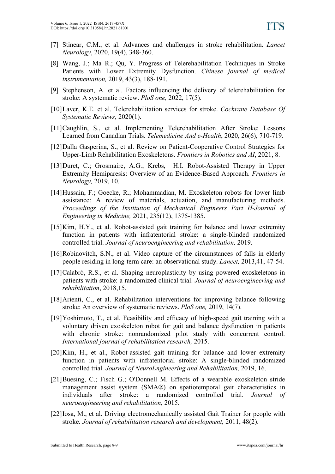- [7] Stinear, C.M., et al. Advances and challenges in stroke rehabilitation. *Lancet Neurology*, 2020, 19(4), 348-360.
- [8] Wang, J.; Ma R.; Qu, Y. Progress of Telerehabilitation Techniques in Stroke Patients with Lower Extremity Dysfunction. *Chinese journal of medical instrumentation,* 2019, 43(3), 188-191.
- [9] Stephenson, A. et al. Factors influencing the delivery of telerehabilitation for stroke: A systematic review. *PloS one,* 2022, 17(5).
- [10]Laver, K.E. et al. Telerehabilitation services for stroke. *Cochrane Database Of Systematic Reviews,* 2020(1).
- [11]Caughlin, S., et al. Implementing Telerehabilitation After Stroke: Lessons Learned from Canadian Trials. *Telemedicine And e-Health*, 2020, 26(6), 710-719.
- [12]Dalla Gasperina, S., et al. Review on Patient-Cooperative Control Strategies for Upper-Limb Rehabilitation Exoskeletons. *Frontiers in Robotics and AI*, 2021, 8.
- [13]Duret, C.; Grosmaire, A.G.; Krebs, H.I. Robot-Assisted Therapy in Upper Extremity Hemiparesis: Overview of an Evidence-Based Approach. *Frontiers in Neurology,* 2019, 10.
- [14]Hussain, F.; Goecke, R.; Mohammadian, M. Exoskeleton robots for lower limb assistance: A review of materials, actuation, and manufacturing methods. *Proceedings of the Institution of Mechanical Engineers Part H-Journal of Engineering in Medicine,* 2021, 235(12), 1375-1385.
- [15]Kim, H.Y., et al. Robot-assisted gait training for balance and lower extremity function in patients with infratentorial stroke: a single-blinded randomized controlled trial. *Journal of neuroengineering and rehabilitation,* 2019.
- [16]Robinovitch, S.N., et al. Video capture of the circumstances of falls in elderly people residing in long-term care: an observational study. *Lancet,* 2013,41, 47-54.
- [17]Calabrò, R.S., et al. Shaping neuroplasticity by using powered exoskeletons in patients with stroke: a randomized clinical trial. *Journal of neuroengineering and rehabilitation*, 2018,15.
- [18]Arienti, C., et al. Rehabilitation interventions for improving balance following stroke: An overview of systematic reviews.*PloS one,* 2019, 14(7).
- [19]Yoshimoto, T., et al. Feasibility and efficacy of high-speed gait training with a voluntary driven exoskeleton robot for gait and balance dysfunction in patients with chronic stroke: nonrandomized pilot study with concurrent control. *International journal of rehabilitation research,* 2015.
- [20]Kim, H., et al., Robot-assisted gait training for balance and lower extremity function in patients with infratentorial stroke: A single-blinded randomized controlled trial. *Journal of NeuroEngineering and Rehabilitation,* 2019, 16.
- [21]Buesing, C.; Fisch G.; O'Donnell M. Effects of a wearable exoskeleton stride management assist system (SMA®) on spatiotemporal gait characteristics in individuals after stroke: a randomized controlled trial. *Journal of neuroengineering and rehabilitation,* 2015.
- [22]Iosa, M., et al. Driving electromechanically assisted Gait Trainer for people with stroke. *Journal of rehabilitation research and development,* 2011, 48(2).